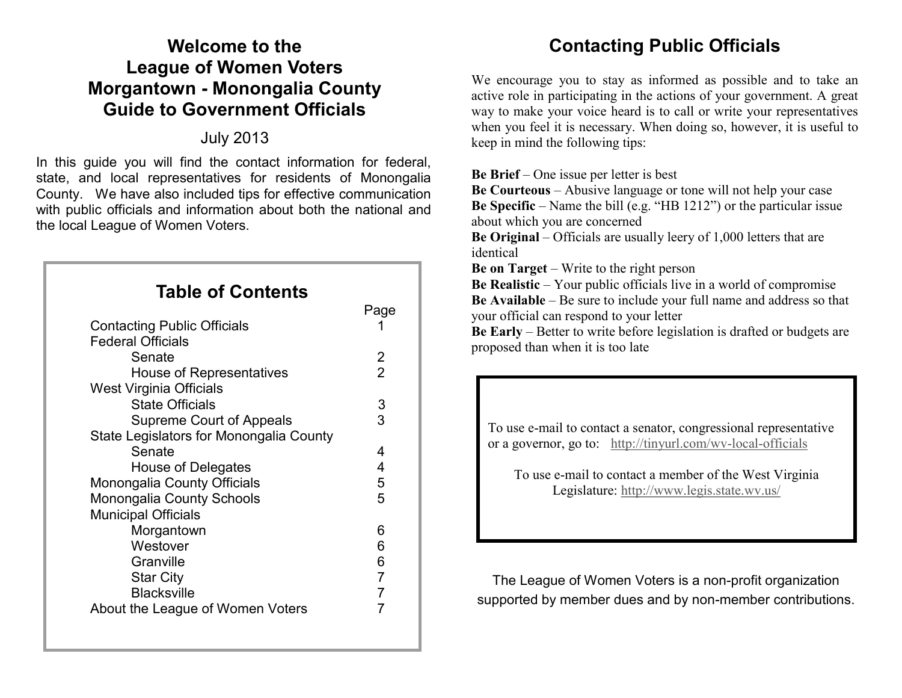# **Welcome to the League of Women Voters Morgantown - Monongalia County Guide to Government Officials**

## July 2013

In this guide you will find the contact information for federal, state, and local representatives for residents of Monongalia County. We have also included tips for effective communication with public officials and information about both the national and the local League of Women Voters.

| <b>Table of Contents</b>                |                |
|-----------------------------------------|----------------|
|                                         | Page           |
| <b>Contacting Public Officials</b>      | 1              |
| <b>Federal Officials</b>                |                |
| Senate                                  | 2              |
| House of Representatives                | $\overline{2}$ |
| <b>West Virginia Officials</b>          |                |
| <b>State Officials</b>                  | 3              |
| <b>Supreme Court of Appeals</b>         | 3              |
| State Legislators for Monongalia County |                |
| Senate                                  | 4              |
| House of Delegates                      | 4              |
| Monongalia County Officials             | 5              |
| <b>Monongalia County Schools</b>        | 5              |
| <b>Municipal Officials</b>              |                |
| Morgantown                              | 6              |
| Westover                                | 6              |
| Granville                               | 6              |
| <b>Star City</b>                        | $\overline{7}$ |
| <b>Blacksville</b>                      | $\overline{7}$ |
| About the League of Women Voters        |                |
|                                         |                |

# **Contacting Public Officials**

We encourage you to stay as informed as possible and to take an active role in participating in the actions of your government. A great way to make your voice heard is to call or write your representatives when you feel it is necessary. When doing so, however, it is useful to keep in mind the following tips:

**Be Brief** – One issue per letter is best

**Be Courteous** – Abusive language or tone will not help your case **Be Specific** – Name the bill (e.g. "HB 1212") or the particular issue about which you are concerned

**Be Original** – Officials are usually leery of 1,000 letters that are identical

**Be on Target** – Write to the right person

**Be Realistic** – Your public officials live in a world of compromise **Be Available** – Be sure to include your full name and address so that your official can respond to your letter

**Be Early** – Better to write before legislation is drafted or budgets are proposed than when it is too late

To use e-mail to contact a senator, congressional representative or a governor, go to: [http://tinyurl.com/wv](http://www.lwv.org/)-local-officials

To use e-mail to contact a member of the West Virginia Legislature:<http://www.legis.state.wv.us/>

The League of Women Voters is a non-profit organization supported by member dues and by non-member contributions.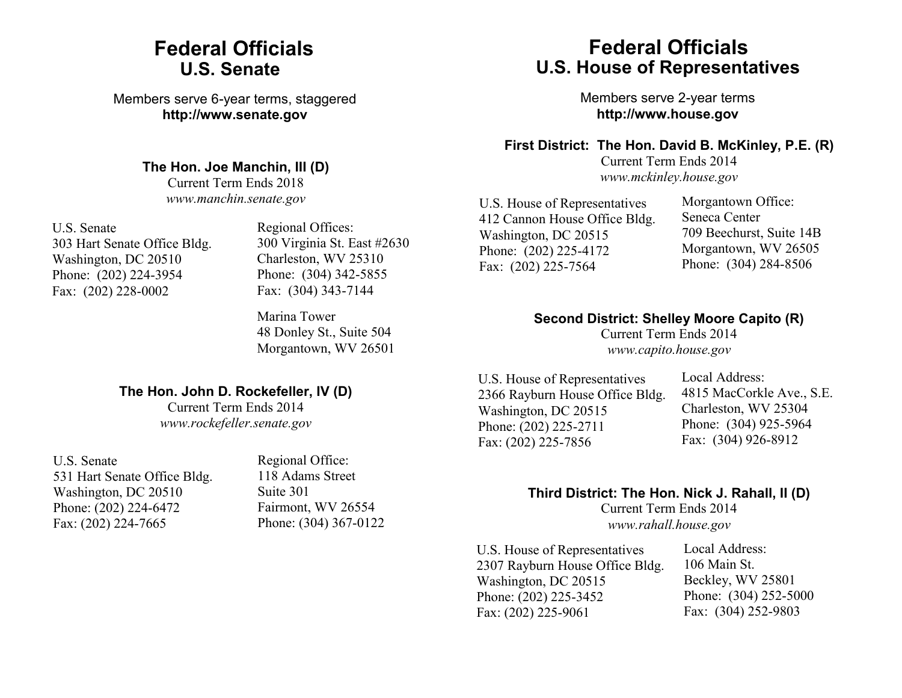# **Federal Officials U.S. Senate**

Members serve 6-year terms, staggered **http://www.senate.gov**

#### **The Hon. Joe Manchin, III (D)**

Current Term Ends 2018 *www.manchin.senate.gov*

U.S. Senate 303 Hart Senate Office Bldg. Washington, DC 20510 Phone: (202) 224-3954 Fax: (202) 228-0002

Regional Offices: 300 Virginia St. East #2630 Charleston, WV 25310 Phone: (304) 342-5855 Fax: (304) 343-7144

Marina Tower 48 Donley St., Suite 504 Morgantown, WV 26501

### **The Hon. John D. Rockefeller, IV (D)**

Current Term Ends 2014 *www.rockefeller.senate.gov*

U.S. Senate 531 Hart Senate Office Bldg. Washington, DC 20510 Phone: (202) 224-6472 Fax: (202) 224-7665

Regional Office: 118 Adams Street Suite 301 Fairmont, WV 26554 Phone: (304) 367-0122

# **Federal Officials U.S. House of Representatives**

Members serve 2-year terms **http://www.house.gov**

#### **First District: The Hon. David B. McKinley, P.E. (R)**

Current Term Ends 2014 *www.mckinley.house.gov*

U.S. House of Representatives 412 Cannon House Office Bldg. Washington, DC 20515 Phone: (202) 225-4172 Fax: (202) 225-7564

Morgantown Office: Seneca Center 709 Beechurst, Suite 14B Morgantown, WV 26505 Phone: (304) 284-8506

#### **Second District: Shelley Moore Capito (R)**

Current Term Ends 2014 *www.capito.house.gov*

U.S. House of Representatives 2366 Rayburn House Office Bldg. Washington, DC 20515 Phone: (202) 225-2711 Fax: (202) 225-7856

Local Address: 4815 MacCorkle Ave., S.E. Charleston, WV 25304 Phone: (304) 925-5964 Fax: (304) 926-8912

### **Third District: The Hon. Nick J. Rahall, II (D)**

Current Term Ends 2014 *www.rahall.house.gov*

U.S. House of Representatives 2307 Rayburn House Office Bldg. Washington, DC 20515 Phone: (202) 225-3452 Fax: (202) 225-9061

Local Address: 106 Main St. Beckley, WV 25801 Phone: (304) 252-5000 Fax: (304) 252-9803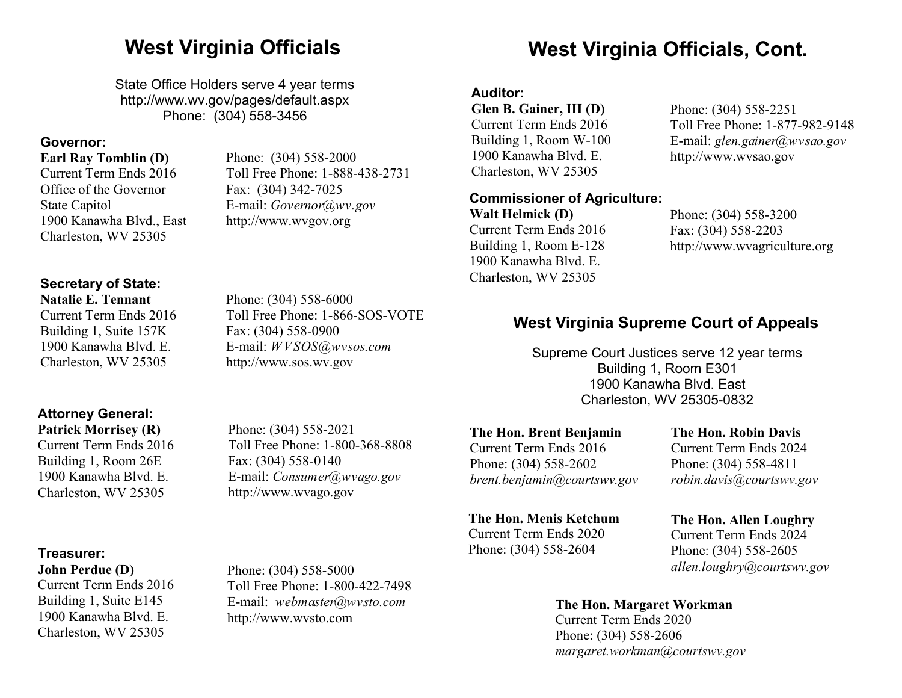State Office Holders serve 4 year terms http://www.wv.gov/pages/default.aspx Phone: (304) 558-3456

Phone: (304) 558-2000

E-mail: *Governor@wv.gov* http://www.wvgov.org

Fax: (304) 342-7025

Toll Free Phone: 1-888-438-2731

### **Governor:**

#### **Earl Ray Tomblin (D)**

Current Term Ends 2016 Office of the Governor State Capitol 1900 Kanawha Blvd., East Charleston, WV 25305

**Secretary of State:** 

#### **Natalie E. Tennant**

Current Term Ends 2016 Building 1, Suite 157K 1900 Kanawha Blvd. E. Charleston, WV 25305

# **Attorney General:**

**Patrick Morrisey (R)** Current Term Ends 2016 Building 1, Room 26E 1900 Kanawha Blvd. E. Charleston, WV 25305

#### **Treasurer:**

**John Perdue (D)** Current Term Ends 2016 Building 1, Suite E145 1900 Kanawha Blvd. E. Charleston, WV 25305

Toll Free Phone: 1-800-368-8808 Fax: (304) 558-0140 E-mail: *Consumer@wvago.gov* http://www.wvago.gov

Toll Free Phone: 1-800-422-7498 E-mail: *webmaster@wvsto.com*

Phone: (304) 558-5000

http://www.wvsto.com

Phone: (304) 558-2602 *brent.benjamin@courtswv.gov*

#### **The Hon. Menis Ketchum**

Current Term Ends 2020 Phone: (304) 558-2604

Current Term Ends 2024 Phone: (304) 558-4811 *robin.davis@courtswv.gov*

# **The Hon. Allen Loughry**

Phone: (304) 558-2605 *allen.loughry@courtswv.gov*

#### **The Hon. Margaret Workman**

Current Term Ends 2020 Phone: (304) 558-2606 *margaret.workman@courtswv.gov*

# Phone: (304) 558-2021

## Phone: (304) 558-6000 Toll Free Phone: 1-866-SOS-VOTE Fax: (304) 558-0900 E-mail: *WVSOS@wvsos.com*  http://www.sos.wv.gov

# **West Virginia Officials West Virginia Officials, Cont.**

### **Auditor:**

**Glen B. Gainer, III (D)** Current Term Ends 2016 Building 1, Room W-100 1900 Kanawha Blvd. E. Charleston, WV 25305

## **Commissioner of Agriculture:**

**Walt Helmick (D)** Current Term Ends 2016 Building 1, Room E-128 1900 Kanawha Blvd. E. Charleston, WV 25305

Phone: (304) 558-2251 Toll Free Phone: 1-877-982-9148 E-mail: *glen.gainer@wvsao.gov* http://www.wvsao.gov

Phone: (304) 558-3200 Fax: (304) 558-2203 http://www.wvagriculture.org

# **West Virginia Supreme Court of Appeals**

Supreme Court Justices serve 12 year terms Building 1, Room E301 1900 Kanawha Blvd. East Charleston, WV 25305-0832

**The Hon. Brent Benjamin** Current Term Ends 2016

# **The Hon. Robin Davis**

Current Term Ends 2024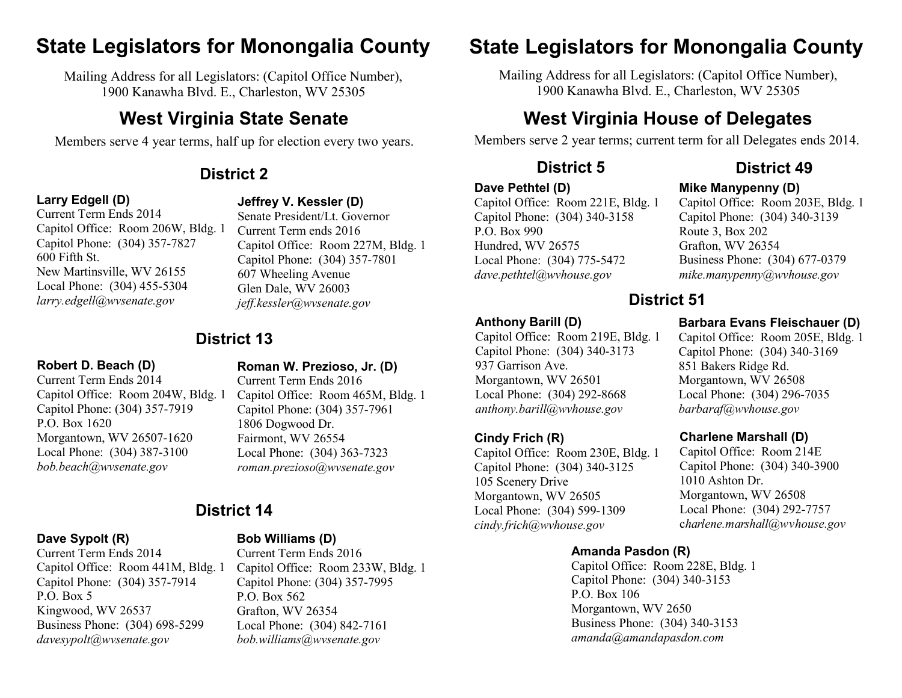# **State Legislators for Monongalia County State Legislators for Monongalia County**

Mailing Address for all Legislators: (Capitol Office Number), 1900 Kanawha Blvd. E., Charleston, WV 25305

# **West Virginia State Senate**

Members serve 4 year terms, half up for election every two years.

## **Larry Edgell (D)**

#### **Jeffrey V. Kessler (D)** Senate President/Lt. Governor

Current Term ends 2016

607 Wheeling Avenue Glen Dale, WV 26003 *jeff.kessler@wvsenate.gov*

Capitol Office: Room 227M, Bldg. 1 Capitol Phone: (304) 357-7801

Current Term Ends 2014 Capitol Office: Room 206W, Bldg. 1 Capitol Phone: (304) 357-7827 600 Fifth St. New Martinsville, WV 26155 Local Phone: (304) 455-5304 *larry.edgell@wvsenate.gov*

# **District 13**

#### **Robert D. Beach (D)**

Current Term Ends 2014 Capitol Office: Room 204W, Bldg. 1 Capitol Phone: (304) 357-7919 P.O. Box 1620 Morgantown, WV 26507-1620 Local Phone: (304) 387-3100 *bob.beach@wvsenate.gov*

**Roman W. Prezioso, Jr. (D)** Current Term Ends 2016 Capitol Office: Room 465M, Bldg. 1 Capitol Phone: (304) 357-7961 1806 Dogwood Dr. Fairmont, WV 26554 Local Phone: (304) 363-7323 *roman.prezioso@wvsenate.gov*

# **District 14**

## **Dave Sypolt (R)**

Current Term Ends 2014 Capitol Office: Room 441M, Bldg. 1 Capitol Phone: (304) 357-7914 P.O. Box 5 Kingwood, WV 26537 Business Phone: (304) 698-5299 *davesypolt@wvsenate.gov*

## **Bob Williams (D)**

Current Term Ends 2016 Capitol Office: Room 233W, Bldg. 1 Capitol Phone: (304) 357-7995 P.O. Box 562 Grafton, WV 26354 Local Phone: (304) 842-7161 *bob.williams@wvsenate.gov*

Mailing Address for all Legislators: (Capitol Office Number), 1900 Kanawha Blvd. E., Charleston, WV 25305

# **West Virginia House of Delegates**

Members serve 2 year terms; current term for all Delegates ends 2014.

#### **Dave Pethtel (D)**

**Anthony Barill (D)**

937 Garrison Ave. Morgantown, WV 26501 Local Phone: (304) 292-8668 *anthony.barill@wvhouse.gov*

**Cindy Frich (R)**

105 Scenery Drive Morgantown, WV 26505 Local Phone: (304) 599-1309 *cindy.frich@wvhouse.gov*

Capitol Office: Room 221E, Bldg. 1 Capitol Phone: (304) 340-3158 P.O. Box 990 Hundred, WV 26575 Local Phone: (304) 775-5472 *dave.pethtel@wvhouse.gov*

Capitol Office: Room 219E, Bldg. 1 Capitol Phone: (304) 340-3173

Capitol Office: Room 230E, Bldg. 1 Capitol Phone: (304) 340-3125

# **District 2 District 5 District 49**

## **Mike Manypenny (D)**

Capitol Office: Room 203E, Bldg. 1 Capitol Phone: (304) 340-3139 Route 3, Box 202 Grafton, WV 26354 Business Phone: (304) 677-0379 *mike.manypenny@wvhouse.gov*

# **District 51**

## **Barbara Evans Fleischauer (D)**

Capitol Office: Room 205E, Bldg. 1 Capitol Phone: (304) 340-3169 851 Bakers Ridge Rd. Morgantown, WV 26508 Local Phone: (304) 296-7035 *barbaraf@wvhouse.gov*

#### **Charlene Marshall (D)**

Capitol Office: Room 214E Capitol Phone: (304) 340-3900 1010 Ashton Dr. Morgantown, WV 26508 Local Phone: (304) 292-7757 c*harlene.marshall@wvhouse.gov*

## **Amanda Pasdon (R)**

Capitol Office: Room 228E, Bldg. 1 Capitol Phone: (304) 340-3153 P.O. Box 106 Morgantown, WV 2650 Business Phone: (304) 340-3153 *amanda@amandapasdon.com*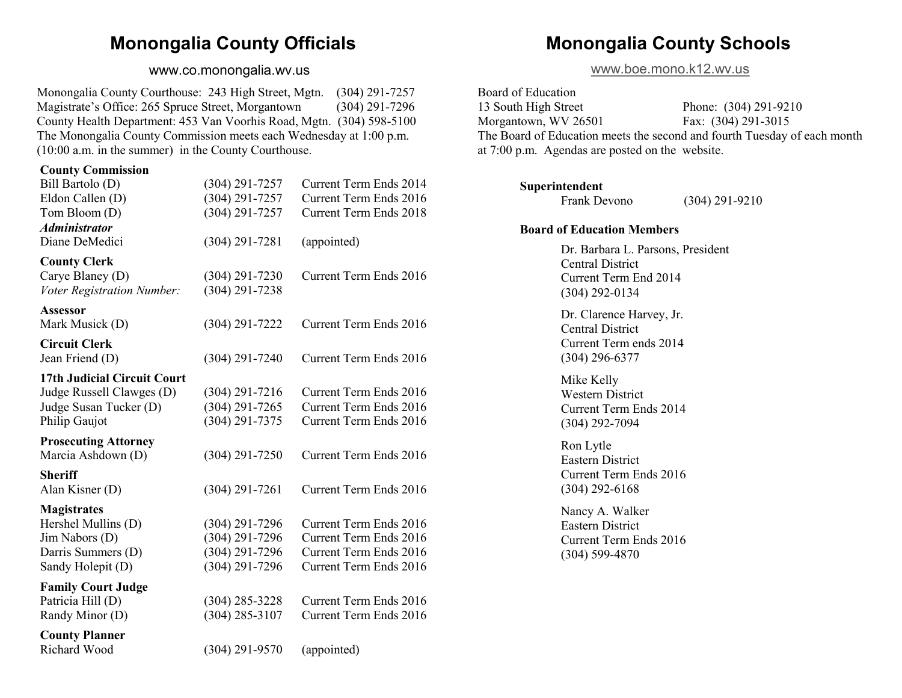# **Monongalia County Officials**

#### www.co.monongalia.wv.us

<span id="page-4-0"></span>Monongalia County Courthouse: 243 High Street, Mgtn. (304) 291-7257 Magistrate's Office: 265 Spruce Street, Morgantown (304) 291-7296 County Health Department: 453 Van Voorhis Road, Mgtn. (304) 598-5100 The Monongalia County Commission meets each Wednesday at 1:00 p.m. (10:00 a.m. in the summer) in the County Courthouse.

#### **County Commission**

| Bill Bartolo (D)            | $(304)$ 291-7257   | Current Term Ends 2014        |
|-----------------------------|--------------------|-------------------------------|
| Eldon Callen (D)            | $(304)$ 291-7257   | Current Term Ends 2016        |
| Tom Bloom (D)               | $(304) 291 - 7257$ | Current Term Ends 2018        |
| <b>Administrator</b>        |                    |                               |
| Diane DeMedici              | $(304)$ 291-7281   | (appointed)                   |
| <b>County Clerk</b>         |                    |                               |
| Carye Blaney (D)            | $(304)$ 291-7230   | Current Term Ends 2016        |
| Voter Registration Number:  | $(304)$ 291-7238   |                               |
| <b>Assessor</b>             |                    |                               |
| Mark Musick (D)             | $(304)$ 291-7222   | Current Term Ends 2016        |
| <b>Circuit Clerk</b>        |                    |                               |
| Jean Friend (D)             | $(304)$ 291-7240   | Current Term Ends 2016        |
| 17th Judicial Circuit Court |                    |                               |
| Judge Russell Clawges (D)   | $(304)$ 291-7216   | Current Term Ends 2016        |
| Judge Susan Tucker (D)      | $(304)$ 291-7265   | <b>Current Term Ends 2016</b> |
| Philip Gaujot               | $(304)$ 291-7375   | Current Term Ends 2016        |
| <b>Prosecuting Attorney</b> |                    |                               |
| Marcia Ashdown (D)          | $(304)$ 291-7250   | Current Term Ends 2016        |
| <b>Sheriff</b>              |                    |                               |
| Alan Kisner (D)             | $(304)$ 291-7261   | Current Term Ends 2016        |
| <b>Magistrates</b>          |                    |                               |
| Hershel Mullins (D)         | $(304)$ 291-7296   | Current Term Ends 2016        |
| Jim Nabors (D)              | $(304)$ 291-7296   | Current Term Ends 2016        |
| Darris Summers (D)          | $(304)$ 291-7296   | Current Term Ends 2016        |
| Sandy Holepit (D)           | $(304)$ 291-7296   | Current Term Ends 2016        |
| <b>Family Court Judge</b>   |                    |                               |
| Patricia Hill (D)           | $(304)$ 285-3228   | Current Term Ends 2016        |
| Randy Minor (D)             | $(304)$ 285-3107   | Current Term Ends 2016        |
| <b>County Planner</b>       |                    |                               |
| Richard Wood                | $(304)$ 291-9570   | (appointed)                   |

# **Monongalia County Schools**

[www.boe.mono.k12.wv.us](#page-4-0)

Board of Education 13 South High Street Phone: (304) 291-9210 Morgantown, WV 26501 Fax: (304) 291-3015 The Board of Education meets the second and fourth Tuesday of each month at 7:00 p.m. Agendas are posted on the website.

#### **Superintendent**

Frank Devono (304) 291-9210

#### **Board of Education Members**

Dr. Barbara L. Parsons, President Central District Current Term End 2014 (304) 292-0134

Dr. Clarence Harvey, Jr. Central District Current Term ends 2014 (304) 296-6377

Mike Kelly Western District Current Term Ends 2014 (304) 292-7094

Ron Lytle Eastern District Current Term Ends 2016 (304) 292-6168

Nancy A. Walker Eastern District Current Term Ends 2016 (304) 599-4870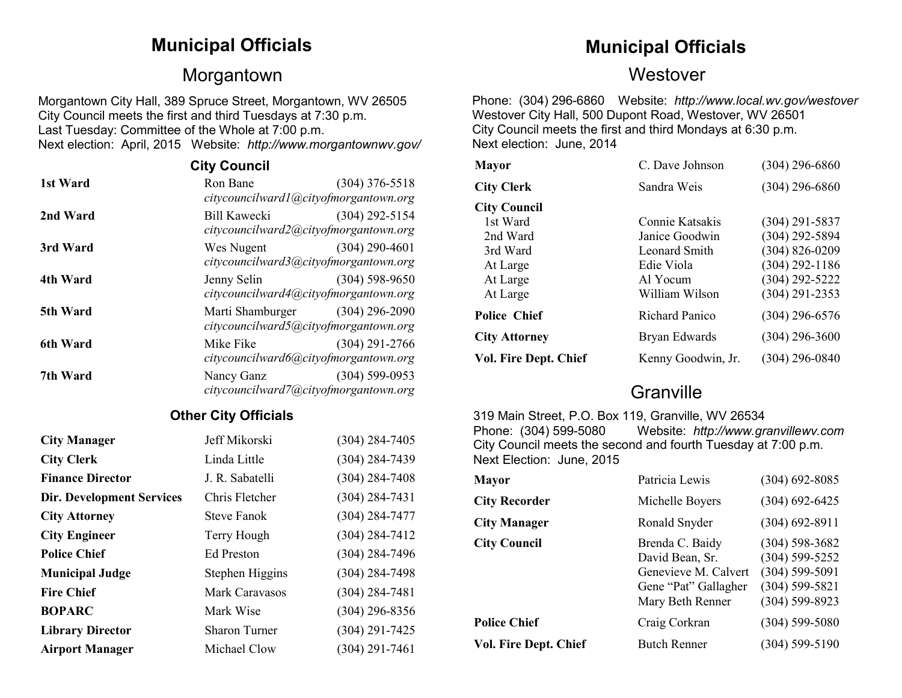# Morgantown Westover

Morgantown City Hall, 389 Spruce Street, Morgantown, WV 26505 City Council meets the first and third Tuesdays at 7:30 p.m. Last Tuesday: Committee of the Whole at 7:00 p.m. Next election: April, 2015 Website: *http://www.morgantownwv.gov/*

| <b>City Council</b> |                                       |                    |
|---------------------|---------------------------------------|--------------------|
| 1st Ward            | Ron Bane                              | $(304)$ 376-5518   |
|                     | citycouncilward1@cityofmorgantown.org |                    |
| 2nd Ward            | Bill Kawecki                          | $(304)$ 292-5154   |
|                     | citycouncilward2@cityofmorgantown.org |                    |
| 3rd Ward            | Wes Nugent                            | $(304)$ 290-4601   |
|                     | citycouncilward3@cityofmorgantown.org |                    |
| 4th Ward            | Jenny Selin                           | $(304)$ 598-9650   |
|                     | citycouncilward4@cityofmorgantown.org |                    |
| 5th Ward            | Marti Shamburger (304) 296-2090       |                    |
|                     | citycouncilward5@cityofmorgantown.org |                    |
| 6th Ward            | Mike Fike                             | $(304)$ 291-2766   |
|                     | citycouncilward6@cityofmorgantown.org |                    |
| 7th Ward            | Nancy Ganz                            | $(304) 599 - 0953$ |
|                     | citycouncilward7@cityofmorgantown.org |                    |

### **Other City Officials**

| <b>City Manager</b>              | Jeff Mikorski        | $(304)$ 284-7405   |
|----------------------------------|----------------------|--------------------|
| <b>City Clerk</b>                | Linda Little         | $(304) 284 - 7439$ |
| <b>Finance Director</b>          | J. R. Sabatelli      | $(304)$ 284-7408   |
| <b>Dir. Development Services</b> | Chris Fletcher       | $(304) 284 - 7431$ |
| <b>City Attorney</b>             | <b>Steve Fanok</b>   | $(304)$ 284-7477   |
| <b>City Engineer</b>             | Terry Hough          | $(304) 284 - 7412$ |
| <b>Police Chief</b>              | Ed Preston           | $(304)$ 284-7496   |
| <b>Municipal Judge</b>           | Stephen Higgins      | $(304)$ 284-7498   |
| <b>Fire Chief</b>                | Mark Caravasos       | $(304)$ 284-7481   |
| <b>BOPARC</b>                    | Mark Wise            | $(304)$ 296-8356   |
| <b>Library Director</b>          | <b>Sharon Turner</b> | $(304)$ 291-7425   |
| <b>Airport Manager</b>           | Michael Clow         | $(304)$ 291-7461   |

# **Municipal Officials Municipal Officials**

Phone: (304) 296-6860 Website: *http://www.local.wv.gov/westover* Westover City Hall, 500 Dupont Road, Westover, WV 26501 City Council meets the first and third Mondays at 6:30 p.m. Next election: June, 2014

| <b>Mayor</b>                 | C. Dave Johnson       | $(304)$ 296-6860   |
|------------------------------|-----------------------|--------------------|
| <b>City Clerk</b>            | Sandra Weis           | $(304)$ 296-6860   |
| <b>City Council</b>          |                       |                    |
| 1st Ward                     | Connie Katsakis       | $(304)$ 291-5837   |
| 2nd Ward                     | Janice Goodwin        | $(304)$ 292-5894   |
| 3rd Ward                     | Leonard Smith         | $(304) 826 - 0209$ |
| At Large                     | Edie Viola            | $(304)$ 292-1186   |
| At Large                     | Al Yocum              | $(304)$ 292-5222   |
| At Large                     | William Wilson        | $(304)$ 291-2353   |
| <b>Police Chief</b>          | <b>Richard Panico</b> | $(304)$ 296-6576   |
| <b>City Attorney</b>         | Bryan Edwards         | $(304)$ 296-3600   |
| <b>Vol. Fire Dept. Chief</b> | Kenny Goodwin, Jr.    | $(304)$ 296-0840   |

# **Granville**

319 Main Street, P.O. Box 119, Granville, WV 26534 Phone: (304) 599-5080 Website: *http://www.granvillewv.com*  City Council meets the second and fourth Tuesday at 7:00 p.m. Next Election: June, 2015

| <b>Mayor</b>                 | Patricia Lewis                                                                                         | $(304)$ 692-8085                                                                                           |
|------------------------------|--------------------------------------------------------------------------------------------------------|------------------------------------------------------------------------------------------------------------|
| <b>City Recorder</b>         | Michelle Boyers                                                                                        | $(304) 692 - 6425$                                                                                         |
| <b>City Manager</b>          | Ronald Snyder                                                                                          | $(304)$ 692-8911                                                                                           |
| <b>City Council</b>          | Brenda C. Baidy<br>David Bean, Sr.<br>Genevieve M. Calvert<br>Gene "Pat" Gallagher<br>Mary Beth Renner | $(304) 598 - 3682$<br>$(304) 599 - 5252$<br>$(304) 599 - 5091$<br>$(304) 599 - 5821$<br>$(304) 599 - 8923$ |
| <b>Police Chief</b>          | Craig Corkran                                                                                          | $(304) 599 - 5080$                                                                                         |
| <b>Vol. Fire Dept. Chief</b> | <b>Butch Renner</b>                                                                                    | $(304)$ 599-5190                                                                                           |